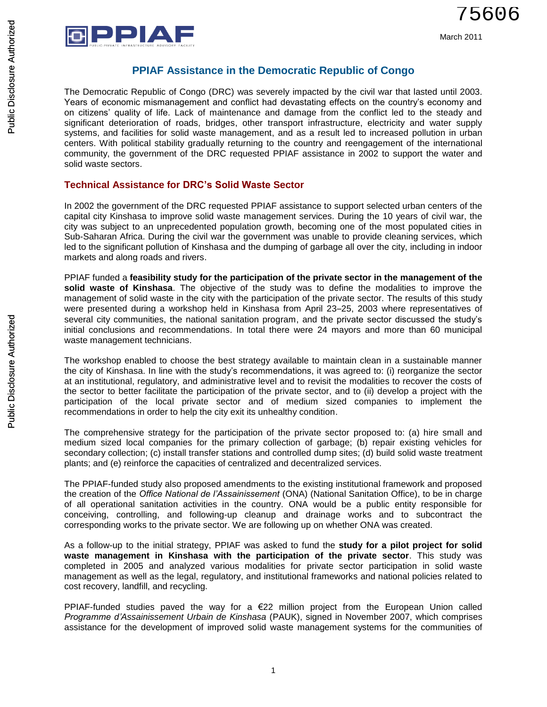

# **PPIAF Assistance in the Democratic Republic of Congo**

The Democratic Republic of Congo (DRC) was severely impacted by the civil war that lasted until 2003. Years of economic mismanagement and conflict had devastating effects on the country's economy and on citizens' quality of life. Lack of maintenance and damage from the conflict led to the steady and significant deterioration of roads, bridges, other transport infrastructure, electricity and water supply systems, and facilities for solid waste management, and as a result led to increased pollution in urban centers. With political stability gradually returning to the country and reengagement of the international community, the government of the DRC requested PPIAF assistance in 2002 to support the water and solid waste sectors.

### **Technical Assistance for DRC's Solid Waste Sector**

In 2002 the government of the DRC requested PPIAF assistance to support selected urban centers of the capital city Kinshasa to improve solid waste management services. During the 10 years of civil war, the city was subject to an unprecedented population growth, becoming one of the most populated cities in Sub-Saharan Africa. During the civil war the government was unable to provide cleaning services, which led to the significant pollution of Kinshasa and the dumping of garbage all over the city, including in indoor markets and along roads and rivers.

PPIAF funded a **feasibility study for the participation of the private sector in the management of the solid waste of Kinshasa**. The objective of the study was to define the modalities to improve the management of solid waste in the city with the participation of the private sector. The results of this study were presented during a workshop held in Kinshasa from April 23–25, 2003 where representatives of several city communities, the national sanitation program, and the private sector discussed the study's initial conclusions and recommendations. In total there were 24 mayors and more than 60 municipal waste management technicians.

The workshop enabled to choose the best strategy available to maintain clean in a sustainable manner the city of Kinshasa. In line with the study's recommendations, it was agreed to: (i) reorganize the sector at an institutional, regulatory, and administrative level and to revisit the modalities to recover the costs of the sector to better facilitate the participation of the private sector, and to (ii) develop a project with the participation of the local private sector and of medium sized companies to implement the recommendations in order to help the city exit its unhealthy condition.

The comprehensive strategy for the participation of the private sector proposed to: (a) hire small and medium sized local companies for the primary collection of garbage; (b) repair existing vehicles for secondary collection; (c) install transfer stations and controlled dump sites; (d) build solid waste treatment plants; and (e) reinforce the capacities of centralized and decentralized services.

The PPIAF-funded study also proposed amendments to the existing institutional framework and proposed the creation of the *Office National de l'Assainissement* (ONA) (National Sanitation Office), to be in charge of all operational sanitation activities in the country. ONA would be a public entity responsible for conceiving, controlling, and following-up cleanup and drainage works and to subcontract the corresponding works to the private sector. We are following up on whether ONA was created.

As a follow-up to the initial strategy, PPIAF was asked to fund the **study for a pilot project for solid waste management in Kinshasa with the participation of the private sector**. This study was completed in 2005 and analyzed various modalities for private sector participation in solid waste management as well as the legal, regulatory, and institutional frameworks and national policies related to cost recovery, landfill, and recycling.

PPIAF-funded studies paved the way for a  $\epsilon$ 22 million project from the European Union called *Programme d'Assainissement Urbain de Kinshasa* (PAUK), signed in November 2007, which comprises assistance for the development of improved solid waste management systems for the communities of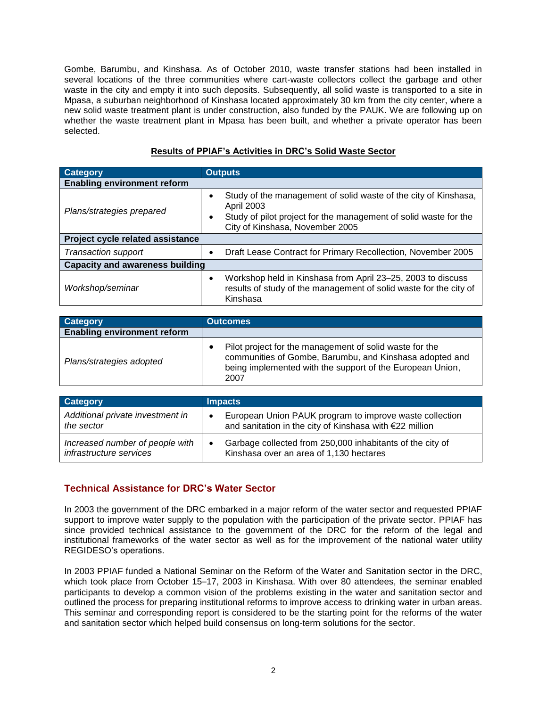Gombe, Barumbu, and Kinshasa. As of October 2010, waste transfer stations had been installed in several locations of the three communities where cart-waste collectors collect the garbage and other waste in the city and empty it into such deposits. Subsequently, all solid waste is transported to a site in Mpasa, a suburban neighborhood of Kinshasa located approximately 30 km from the city center, where a new solid waste treatment plant is under construction, also funded by the PAUK. We are following up on whether the waste treatment plant in Mpasa has been built, and whether a private operator has been selected.

| Category                               | <b>Outputs</b>                                                                                                                                                                              |  |
|----------------------------------------|---------------------------------------------------------------------------------------------------------------------------------------------------------------------------------------------|--|
| <b>Enabling environment reform</b>     |                                                                                                                                                                                             |  |
| Plans/strategies prepared              | Study of the management of solid waste of the city of Kinshasa,<br><b>April 2003</b><br>Study of pilot project for the management of solid waste for the<br>City of Kinshasa, November 2005 |  |
| Project cycle related assistance       |                                                                                                                                                                                             |  |
| <b>Transaction support</b>             | Draft Lease Contract for Primary Recollection, November 2005                                                                                                                                |  |
| <b>Capacity and awareness building</b> |                                                                                                                                                                                             |  |
| Workshop/seminar                       | Workshop held in Kinshasa from April 23-25, 2003 to discuss<br>results of study of the management of solid waste for the city of<br>Kinshasa                                                |  |

#### **Results of PPIAF's Activities in DRC's Solid Waste Sector**

| <b>Category</b>                    | <b>Outcomes</b>                                                                                                                                                                         |
|------------------------------------|-----------------------------------------------------------------------------------------------------------------------------------------------------------------------------------------|
| <b>Enabling environment reform</b> |                                                                                                                                                                                         |
| Plans/strategies adopted           | Pilot project for the management of solid waste for the<br>communities of Gombe, Barumbu, and Kinshasa adopted and<br>being implemented with the support of the European Union,<br>2007 |

| <b>Category</b>                                            | <b>Impacts</b>                                                                                                                  |
|------------------------------------------------------------|---------------------------------------------------------------------------------------------------------------------------------|
| Additional private investment in<br>the sector             | European Union PAUK program to improve waste collection<br>$\bullet$<br>and sanitation in the city of Kinshasa with €22 million |
| Increased number of people with<br>infrastructure services | Garbage collected from 250,000 inhabitants of the city of<br>$\bullet$<br>Kinshasa over an area of 1,130 hectares               |

# **Technical Assistance for DRC's Water Sector**

In 2003 the government of the DRC embarked in a major reform of the water sector and requested PPIAF support to improve water supply to the population with the participation of the private sector. PPIAF has since provided technical assistance to the government of the DRC for the reform of the legal and institutional frameworks of the water sector as well as for the improvement of the national water utility REGIDESO's operations.

In 2003 PPIAF funded a National Seminar on the Reform of the Water and Sanitation sector in the DRC, which took place from October 15–17, 2003 in Kinshasa. With over 80 attendees, the seminar enabled participants to develop a common vision of the problems existing in the water and sanitation sector and outlined the process for preparing institutional reforms to improve access to drinking water in urban areas. This seminar and corresponding report is considered to be the starting point for the reforms of the water and sanitation sector which helped build consensus on long-term solutions for the sector.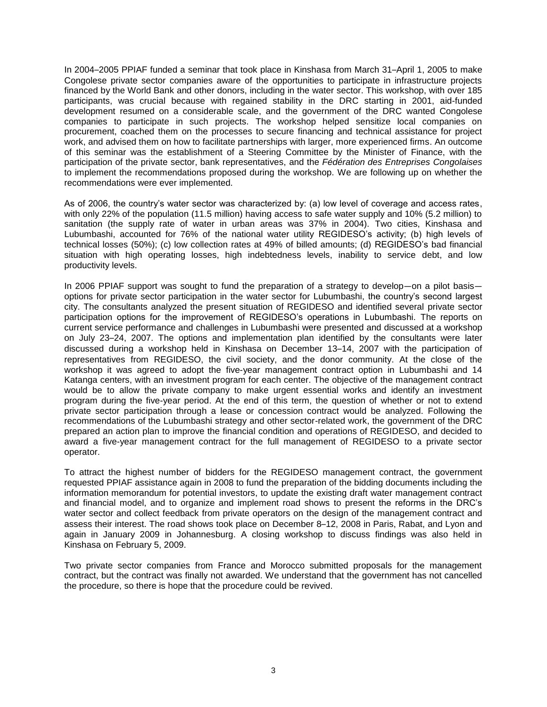In 2004–2005 PPIAF funded a seminar that took place in Kinshasa from March 31–April 1, 2005 to make Congolese private sector companies aware of the opportunities to participate in infrastructure projects financed by the World Bank and other donors, including in the water sector. This workshop, with over 185 participants, was crucial because with regained stability in the DRC starting in 2001, aid-funded development resumed on a considerable scale, and the government of the DRC wanted Congolese companies to participate in such projects. The workshop helped sensitize local companies on procurement, coached them on the processes to secure financing and technical assistance for project work, and advised them on how to facilitate partnerships with larger, more experienced firms. An outcome of this seminar was the establishment of a Steering Committee by the Minister of Finance, with the participation of the private sector, bank representatives, and the *Fédération des Entreprises Congolaises* to implement the recommendations proposed during the workshop. We are following up on whether the recommendations were ever implemented.

As of 2006, the country's water sector was characterized by: (a) low level of coverage and access rates, with only 22% of the population (11.5 million) having access to safe water supply and 10% (5.2 million) to sanitation (the supply rate of water in urban areas was 37% in 2004). Two cities, Kinshasa and Lubumbashi, accounted for 76% of the national water utility REGIDESO's activity; (b) high levels of technical losses (50%); (c) low collection rates at 49% of billed amounts; (d) REGIDESO's bad financial situation with high operating losses, high indebtedness levels, inability to service debt, and low productivity levels.

In 2006 PPIAF support was sought to fund the preparation of a strategy to develop—on a pilot basis options for private sector participation in the water sector for Lubumbashi, the country's second largest city. The consultants analyzed the present situation of REGIDESO and identified several private sector participation options for the improvement of REGIDESO's operations in Lubumbashi. The reports on current service performance and challenges in Lubumbashi were presented and discussed at a workshop on July 23–24, 2007. The options and implementation plan identified by the consultants were later discussed during a workshop held in Kinshasa on December 13–14, 2007 with the participation of representatives from REGIDESO, the civil society, and the donor community. At the close of the workshop it was agreed to adopt the five-year management contract option in Lubumbashi and 14 Katanga centers, with an investment program for each center. The objective of the management contract would be to allow the private company to make urgent essential works and identify an investment program during the five-year period. At the end of this term, the question of whether or not to extend private sector participation through a lease or concession contract would be analyzed. Following the recommendations of the Lubumbashi strategy and other sector-related work, the government of the DRC prepared an action plan to improve the financial condition and operations of REGIDESO, and decided to award a five-year management contract for the full management of REGIDESO to a private sector operator.

To attract the highest number of bidders for the REGIDESO management contract, the government requested PPIAF assistance again in 2008 to fund the preparation of the bidding documents including the information memorandum for potential investors, to update the existing draft water management contract and financial model, and to organize and implement road shows to present the reforms in the DRC's water sector and collect feedback from private operators on the design of the management contract and assess their interest. The road shows took place on December 8–12, 2008 in Paris, Rabat, and Lyon and again in January 2009 in Johannesburg. A closing workshop to discuss findings was also held in Kinshasa on February 5, 2009.

Two private sector companies from France and Morocco submitted proposals for the management contract, but the contract was finally not awarded. We understand that the government has not cancelled the procedure, so there is hope that the procedure could be revived.